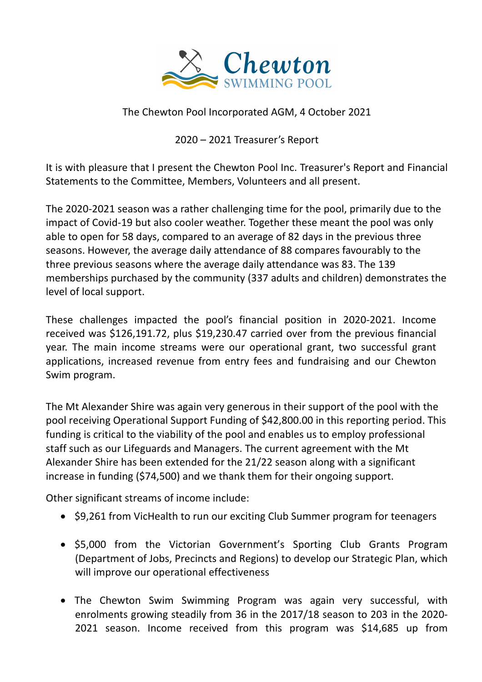

## The Chewton Pool Incorporated AGM, 4 October 2021

2020 – 2021 Treasurer's Report

It is with pleasure that I present the Chewton Pool Inc. Treasurer's Report and Financial Statements to the Committee, Members, Volunteers and all present.

The 2020-2021 season was a rather challenging time for the pool, primarily due to the impact of Covid-19 but also cooler weather. Together these meant the pool was only able to open for 58 days, compared to an average of 82 days in the previous three seasons. However, the average daily attendance of 88 compares favourably to the three previous seasons where the average daily attendance was 83. The 139 memberships purchased by the community (337 adults and children) demonstrates the level of local support.

These challenges impacted the pool's financial position in 2020-2021. Income received was \$126,191.72, plus \$19,230.47 carried over from the previous financial year. The main income streams were our operational grant, two successful grant applications, increased revenue from entry fees and fundraising and our Chewton Swim program.

The Mt Alexander Shire was again very generous in their support of the pool with the pool receiving Operational Support Funding of \$42,800.00 in this reporting period. This funding is critical to the viability of the pool and enables us to employ professional staff such as our Lifeguards and Managers. The current agreement with the Mt Alexander Shire has been extended for the 21/22 season along with a significant increase in funding (\$74,500) and we thank them for their ongoing support.

Other significant streams of income include:

- \$9,261 from VicHealth to run our exciting Club Summer program for teenagers
- \$5,000 from the Victorian Government's Sporting Club Grants Program (Department of Jobs, Precincts and Regions) to develop our Strategic Plan, which will improve our operational effectiveness
- The Chewton Swim Swimming Program was again very successful, with enrolments growing steadily from 36 in the 2017/18 season to 203 in the 2020- 2021 season. Income received from this program was \$14,685 up from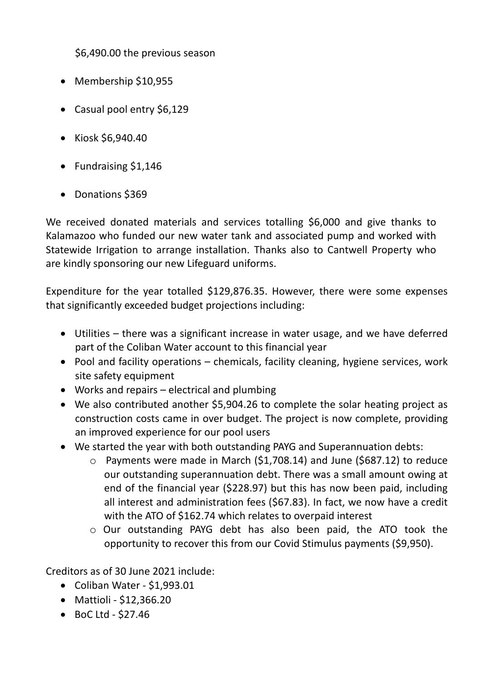\$6,490.00 the previous season

- Membership \$10,955
- Casual pool entry \$6,129
- Kiosk \$6,940.40
- Fundraising \$1,146
- Donations \$369

We received donated materials and services totalling \$6,000 and give thanks to Kalamazoo who funded our new water tank and associated pump and worked with Statewide Irrigation to arrange installation. Thanks also to Cantwell Property who are kindly sponsoring our new Lifeguard uniforms.

Expenditure for the year totalled \$129,876.35. However, there were some expenses that significantly exceeded budget projections including:

- Utilities there was a significant increase in water usage, and we have deferred part of the Coliban Water account to this financial year
- Pool and facility operations chemicals, facility cleaning, hygiene services, work site safety equipment
- Works and repairs electrical and plumbing
- We also contributed another \$5,904.26 to complete the solar heating project as construction costs came in over budget. The project is now complete, providing an improved experience for our pool users
- We started the year with both outstanding PAYG and Superannuation debts:
	- o Payments were made in March (\$1,708.14) and June (\$687.12) to reduce our outstanding superannuation debt. There was a small amount owing at end of the financial year (\$228.97) but this has now been paid, including all interest and administration fees (\$67.83). In fact, we now have a credit with the ATO of \$162.74 which relates to overpaid interest
	- o Our outstanding PAYG debt has also been paid, the ATO took the opportunity to recover this from our Covid Stimulus payments (\$9,950).

Creditors as of 30 June 2021 include:

- Coliban Water \$1,993.01
- Mattioli \$12,366.20
- BoC Ltd \$27.46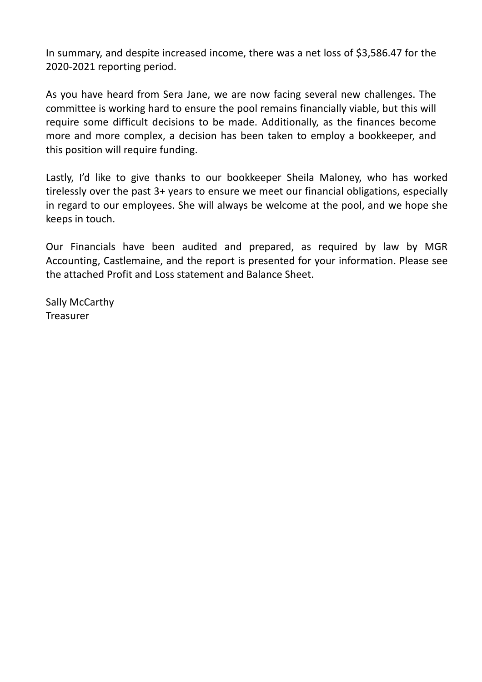In summary, and despite increased income, there was a net loss of \$3,586.47 for the 2020-2021 reporting period.

As you have heard from Sera Jane, we are now facing several new challenges. The committee is working hard to ensure the pool remains financially viable, but this will require some difficult decisions to be made. Additionally, as the finances become more and more complex, a decision has been taken to employ a bookkeeper, and this position will require funding.

Lastly, I'd like to give thanks to our bookkeeper Sheila Maloney, who has worked tirelessly over the past 3+ years to ensure we meet our financial obligations, especially in regard to our employees. She will always be welcome at the pool, and we hope she keeps in touch.

Our Financials have been audited and prepared, as required by law by MGR Accounting, Castlemaine, and the report is presented for your information. Please see the attached Profit and Loss statement and Balance Sheet.

Sally McCarthy Treasurer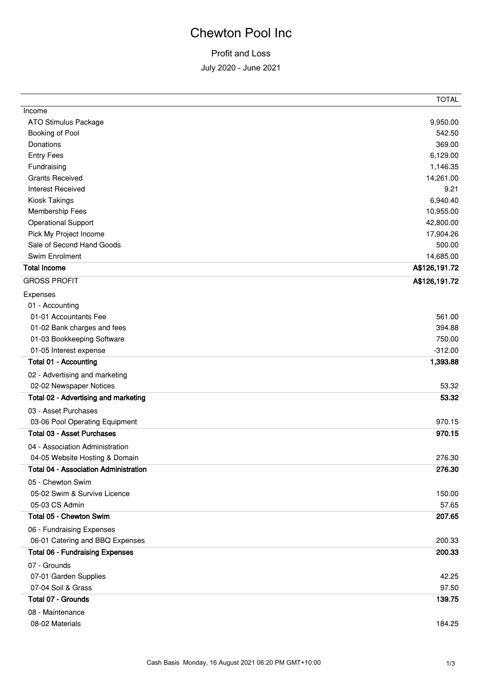# Chewton Pool Inc

## Profit and Loss

July 2020 - June 2021

|                                              | TOTAL         |
|----------------------------------------------|---------------|
| Income                                       |               |
| <b>ATO Stimulus Package</b>                  | 9,950.00      |
| Booking of Pool                              | 542.50        |
| <b>Donations</b>                             | 369.00        |
| <b>Entry Fees</b>                            | 6,129.00      |
| Fundraising                                  | 1,146.35      |
| <b>Grants Received</b>                       | 14,261.00     |
| <b>Interest Received</b>                     | 9.21          |
| Kiosk Takings                                | 6,940.40      |
| Membership Fees                              | 10,955.00     |
| <b>Operational Support</b>                   | 42,800.00     |
| Pick My Project Income                       | 17,904.26     |
| Sale of Second Hand Goods                    | 500.00        |
| Swim Enrolment                               | 14,685.00     |
| <b>Total Income</b>                          | A\$126,191.72 |
| <b>GROSS PROFIT</b>                          | A\$126,191.72 |
| Expenses                                     |               |
| 01 - Accounting                              |               |
| 01-01 Accountants Fee                        | 561.00        |
| 01-02 Bank charges and fees                  | 394.88        |
| 01-03 Bookkeeping Software                   | 750.00        |
| 01-05 Interest expense                       | $-312.00$     |
| Total 01 - Accounting                        | 1,393.88      |
| 02 - Advertising and marketing               |               |
| 02-02 Newspaper Notices                      | 53.32         |
| Total 02 - Advertising and marketing         | 53.32         |
| 03 - Asset Purchases                         |               |
| 03-06 Pool Operating Equipment               | 970.15        |
| <b>Total 03 - Asset Purchases</b>            | 970.15        |
| 04 - Association Administration              |               |
| 04-05 Website Hosting & Domain               | 276.30        |
| <b>Total 04 - Association Administration</b> | 276.30        |
| 05 - Chewton Swim                            |               |
| 05-02 Swim & Survive Licence                 | 150.00        |
| 05-03 CS Admin                               | 57.65         |
| Total 05 - Chewton Swim                      | 207.65        |
| 06 - Fundraising Expenses                    |               |
| 06-01 Catering and BBQ Expenses              | 200.33        |
| <b>Total 06 - Fundraising Expenses</b>       | 200.33        |
| 07 - Grounds                                 |               |
| 07-01 Garden Supplies                        | 42.25         |
| 07-04 Soil & Grass                           | 97.50         |
| Total 07 - Grounds                           | 139.75        |
| 08 - Maintenance                             |               |
| 08-02 Materials                              | 184.25        |
|                                              |               |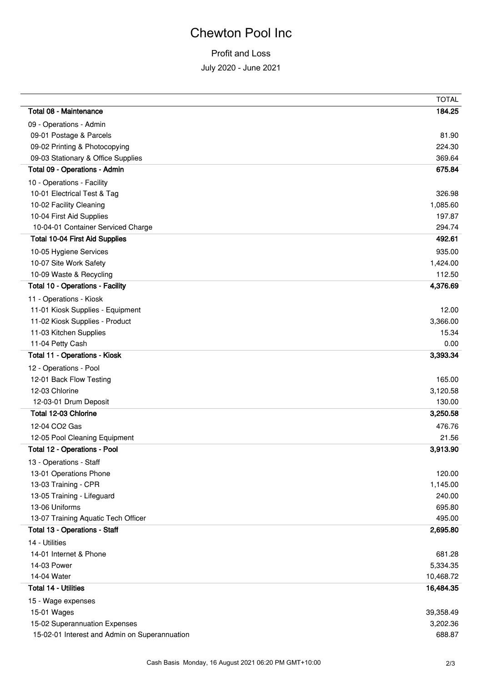# Chewton Pool Inc

### Profit and Loss

July 2020 - June 2021

|                                               | <b>TOTAL</b> |
|-----------------------------------------------|--------------|
| Total 08 - Maintenance                        | 184.25       |
| 09 - Operations - Admin                       |              |
| 09-01 Postage & Parcels                       | 81.90        |
| 09-02 Printing & Photocopying                 | 224.30       |
| 09-03 Stationary & Office Supplies            | 369.64       |
| Total 09 - Operations - Admin                 | 675.84       |
| 10 - Operations - Facility                    |              |
| 10-01 Electrical Test & Tag                   | 326.98       |
| 10-02 Facility Cleaning                       | 1,085.60     |
| 10-04 First Aid Supplies                      | 197.87       |
| 10-04-01 Container Serviced Charge            | 294.74       |
| Total 10-04 First Aid Supplies                | 492.61       |
| 10-05 Hygiene Services                        | 935.00       |
| 10-07 Site Work Safety                        | 1,424.00     |
| 10-09 Waste & Recycling                       | 112.50       |
| <b>Total 10 - Operations - Facility</b>       | 4,376.69     |
| 11 - Operations - Kiosk                       |              |
| 11-01 Kiosk Supplies - Equipment              | 12.00        |
| 11-02 Kiosk Supplies - Product                | 3,366.00     |
| 11-03 Kitchen Supplies                        | 15.34        |
| 11-04 Petty Cash                              | 0.00         |
| Total 11 - Operations - Kiosk                 | 3,393.34     |
| 12 - Operations - Pool                        |              |
| 12-01 Back Flow Testing                       | 165.00       |
| 12-03 Chlorine                                | 3,120.58     |
| 12-03-01 Drum Deposit                         | 130.00       |
| Total 12-03 Chlorine                          | 3,250.58     |
| 12-04 CO2 Gas                                 | 476.76       |
| 12-05 Pool Cleaning Equipment                 | 21.56        |
| Total 12 - Operations - Pool                  | 3,913.90     |
| 13 - Operations - Staff                       |              |
| 13-01 Operations Phone                        | 120.00       |
| 13-03 Training - CPR                          | 1,145.00     |
| 13-05 Training - Lifeguard                    | 240.00       |
| 13-06 Uniforms                                | 695.80       |
| 13-07 Training Aquatic Tech Officer           | 495.00       |
| Total 13 - Operations - Staff                 | 2,695.80     |
| 14 - Utilities                                |              |
| 14-01 Internet & Phone                        | 681.28       |
| 14-03 Power                                   | 5,334.35     |
| 14-04 Water                                   | 10,468.72    |
| <b>Total 14 - Utilities</b>                   | 16,484.35    |
| 15 - Wage expenses                            |              |
| 15-01 Wages                                   | 39,358.49    |
| 15-02 Superannuation Expenses                 | 3,202.36     |
| 15-02-01 Interest and Admin on Superannuation | 688.87       |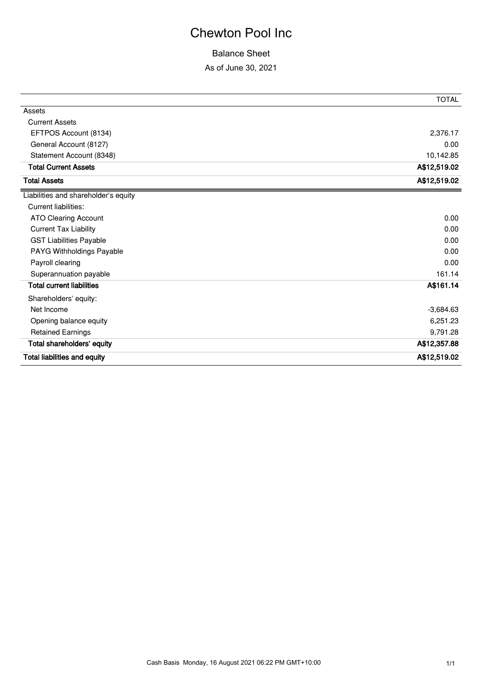# Chewton Pool Inc

## Balance Sheet

As of June 30, 2021

|                                      | <b>TOTAL</b> |
|--------------------------------------|--------------|
| Assets                               |              |
| <b>Current Assets</b>                |              |
| EFTPOS Account (8134)                | 2,376.17     |
| General Account (8127)               | 0.00         |
| Statement Account (8348)             | 10,142.85    |
| <b>Total Current Assets</b>          | A\$12,519.02 |
| <b>Total Assets</b>                  | A\$12,519.02 |
| Liabilities and shareholder's equity |              |
| <b>Current liabilities:</b>          |              |
| <b>ATO Clearing Account</b>          | 0.00         |
| <b>Current Tax Liability</b>         | 0.00         |
| <b>GST Liabilities Payable</b>       | 0.00         |
| PAYG Withholdings Payable            | 0.00         |
| Payroll clearing                     | 0.00         |
| Superannuation payable               | 161.14       |
| <b>Total current liabilities</b>     | A\$161.14    |
| Shareholders' equity:                |              |
| Net Income                           | $-3,684.63$  |
| Opening balance equity               | 6,251.23     |
| <b>Retained Earnings</b>             | 9,791.28     |
| Total shareholders' equity           | A\$12,357.88 |
| <b>Total liabilities and equity</b>  | A\$12,519.02 |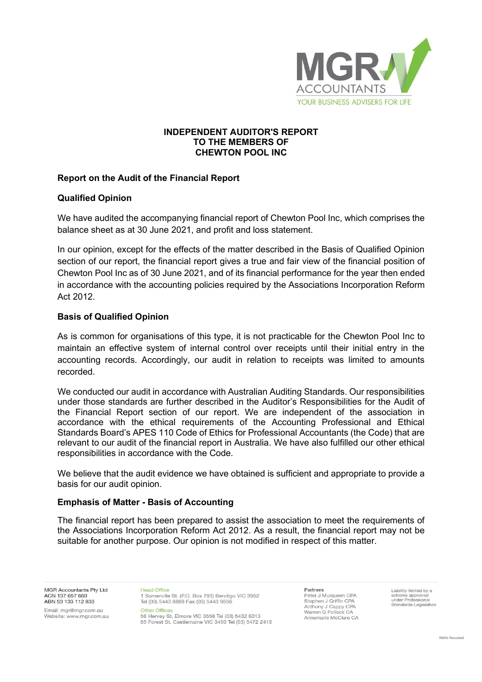

#### **INDEPENDENT AUDITOR'S REPORT TO THE MEMBERS OF CHEWTON POOL INC**

#### **Report on the Audit of the Financial Report**

#### **Qualified Opinion**

We have audited the accompanying financial report of Chewton Pool Inc, which comprises the balance sheet as at 30 June 2021, and profit and loss statement.

In our opinion, except for the effects of the matter described in the Basis of Qualified Opinion section of our report, the financial report gives a true and fair view of the financial position of Chewton Pool Inc as of 30 June 2021, and of its financial performance for the year then ended in accordance with the accounting policies required by the Associations Incorporation Reform Act 2012.

#### **Basis of Qualified Opinion**

As is common for organisations of this type, it is not practicable for the Chewton Pool Inc to maintain an effective system of internal control over receipts until their initial entry in the accounting records. Accordingly, our audit in relation to receipts was limited to amounts recorded.

We conducted our audit in accordance with Australian Auditing Standards. Our responsibilities under those standards are further described in the Auditor's Responsibilities for the Audit of the Financial Report section of our report. We are independent of the association in accordance with the ethical requirements of the Accounting Professional and Ethical Standards Board's APES 110 Code of Ethics for Professional Accountants (the Code) that are relevant to our audit of the financial report in Australia. We have also fulfilled our other ethical responsibilities in accordance with the Code.

We believe that the audit evidence we have obtained is sufficient and appropriate to provide a basis for our audit opinion.

#### **Emphasis of Matter - Basis of Accounting**

The financial report has been prepared to assist the association to meet the requirements of the Associations Incorporation Reform Act 2012. As a result, the financial report may not be suitable for another purpose. Our opinion is not modified in respect of this matter.

MGR Accountants Pty Ltd ACN 137 657 660 ABN 53 133 112 833

Email: mgr@mgr.com.au Website: www.mgr.com.au **Head Office** 1 Somerville St. (P.O. Box 793) Bendigo VIC 3552 Tel (03) 5443 8888 Fax (03) 5443 9556 Other Officer

56 Hervey St. Elmore VIC 3558 Tel (03) 5432 6013 65 Forest St. Castlemaine VIC 3450 Tel (03) 5472 2415 Partners Peter J Mulqueen CPA Stephen J Griffin CPA Anthony J Cappy CPA<br>Warren G Pollock CA Annemarie McClure CA Liability limited by a scheme approve<br>under Profession Standards Legislation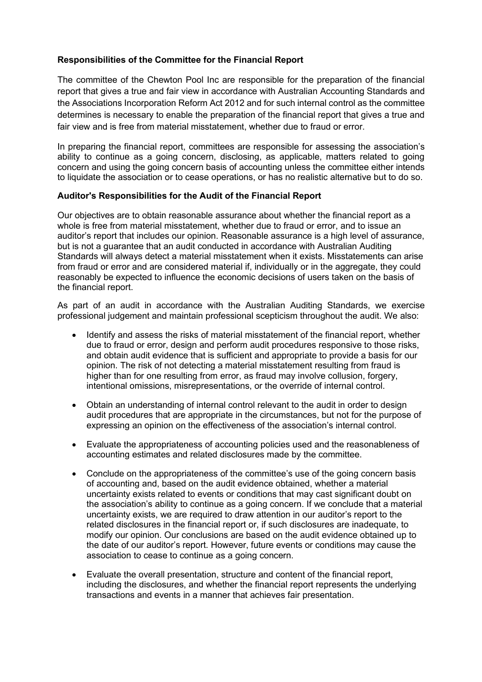### **Responsibilities of the Committee for the Financial Report**

The committee of the Chewton Pool Inc are responsible for the preparation of the financial report that gives a true and fair view in accordance with Australian Accounting Standards and the Associations Incorporation Reform Act 2012 and for such internal control as the committee determines is necessary to enable the preparation of the financial report that gives a true and fair view and is free from material misstatement, whether due to fraud or error.

In preparing the financial report, committees are responsible for assessing the association's ability to continue as a going concern, disclosing, as applicable, matters related to going concern and using the going concern basis of accounting unless the committee either intends to liquidate the association or to cease operations, or has no realistic alternative but to do so.

### **Auditor's Responsibilities for the Audit of the Financial Report**

Our objectives are to obtain reasonable assurance about whether the financial report as a whole is free from material misstatement, whether due to fraud or error, and to issue an auditor's report that includes our opinion. Reasonable assurance is a high level of assurance, but is not a guarantee that an audit conducted in accordance with Australian Auditing Standards will always detect a material misstatement when it exists. Misstatements can arise from fraud or error and are considered material if, individually or in the aggregate, they could reasonably be expected to influence the economic decisions of users taken on the basis of the financial report.

As part of an audit in accordance with the Australian Auditing Standards, we exercise professional judgement and maintain professional scepticism throughout the audit. We also:

- Identify and assess the risks of material misstatement of the financial report, whether due to fraud or error, design and perform audit procedures responsive to those risks, and obtain audit evidence that is sufficient and appropriate to provide a basis for our opinion. The risk of not detecting a material misstatement resulting from fraud is higher than for one resulting from error, as fraud may involve collusion, forgery, intentional omissions, misrepresentations, or the override of internal control.
- Obtain an understanding of internal control relevant to the audit in order to design audit procedures that are appropriate in the circumstances, but not for the purpose of expressing an opinion on the effectiveness of the association's internal control.
- Evaluate the appropriateness of accounting policies used and the reasonableness of accounting estimates and related disclosures made by the committee.
- Conclude on the appropriateness of the committee's use of the going concern basis of accounting and, based on the audit evidence obtained, whether a material uncertainty exists related to events or conditions that may cast significant doubt on the association's ability to continue as a going concern. If we conclude that a material uncertainty exists, we are required to draw attention in our auditor's report to the related disclosures in the financial report or, if such disclosures are inadequate, to modify our opinion. Our conclusions are based on the audit evidence obtained up to the date of our auditor's report. However, future events or conditions may cause the association to cease to continue as a going concern.
- Evaluate the overall presentation, structure and content of the financial report, including the disclosures, and whether the financial report represents the underlying transactions and events in a manner that achieves fair presentation.